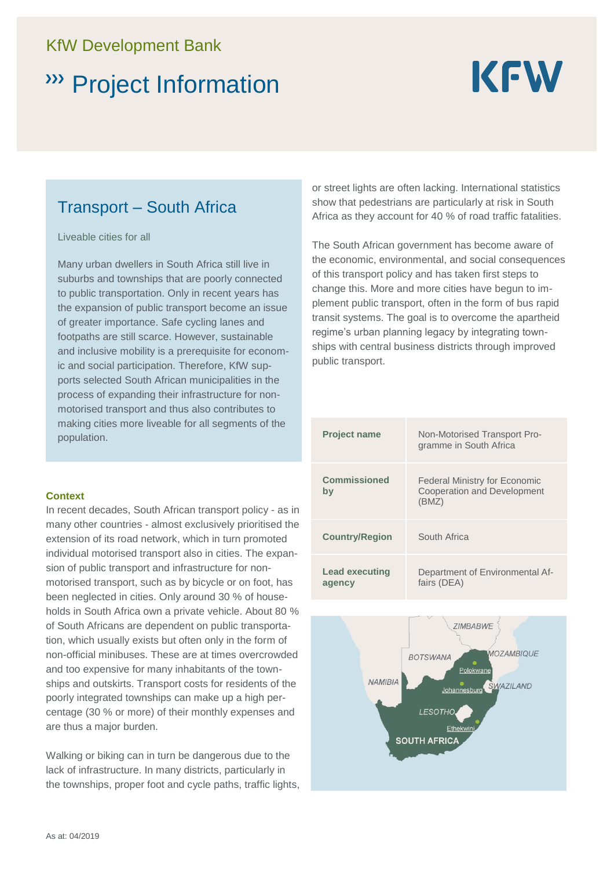### KfW Development Bank

# Project Information

# **KFW**

## Transport – South Africa

Liveable cities for all

Many urban dwellers in South Africa still live in suburbs and townships that are poorly connected to public transportation. Only in recent years has the expansion of public transport become an issue of greater importance. Safe cycling lanes and footpaths are still scarce. However, sustainable and inclusive mobility is a prerequisite for economic and social participation. Therefore, KfW supports selected South African municipalities in the process of expanding their infrastructure for nonmotorised transport and thus also contributes to making cities more liveable for all segments of the population.

#### **Context**

In recent decades, South African transport policy - as in many other countries - almost exclusively prioritised the extension of its road network, which in turn promoted individual motorised transport also in cities. The expansion of public transport and infrastructure for nonmotorised transport, such as by bicycle or on foot, has been neglected in cities. Only around 30 % of households in South Africa own a private vehicle. About 80 % of South Africans are dependent on public transportation, which usually exists but often only in the form of non-official minibuses. These are at times overcrowded and too expensive for many inhabitants of the townships and outskirts. Transport costs for residents of the poorly integrated townships can make up a high percentage (30 % or more) of their monthly expenses and are thus a major burden.

Walking or biking can in turn be dangerous due to the lack of infrastructure. In many districts, particularly in the townships, proper foot and cycle paths, traffic lights,

or street lights are often lacking. International statistics show that pedestrians are particularly at risk in South Africa as they account for 40 % of road traffic fatalities.

The South African government has become aware of the economic, environmental, and social consequences of this transport policy and has taken first steps to change this. More and more cities have begun to implement public transport, often in the form of bus rapid transit systems. The goal is to overcome the apartheid regime's urban planning legacy by integrating townships with central business districts through improved public transport.

| <b>Project name</b>             | Non-Motorised Transport Pro-<br>gramme in South Africa                       |
|---------------------------------|------------------------------------------------------------------------------|
| <b>Commissioned</b><br>by       | Federal Ministry for Economic<br><b>Cooperation and Development</b><br>(BMZ) |
| <b>Country/Region</b>           | South Africa                                                                 |
| <b>Lead executing</b><br>agency | Department of Environmental Af-<br>fairs (DEA)                               |